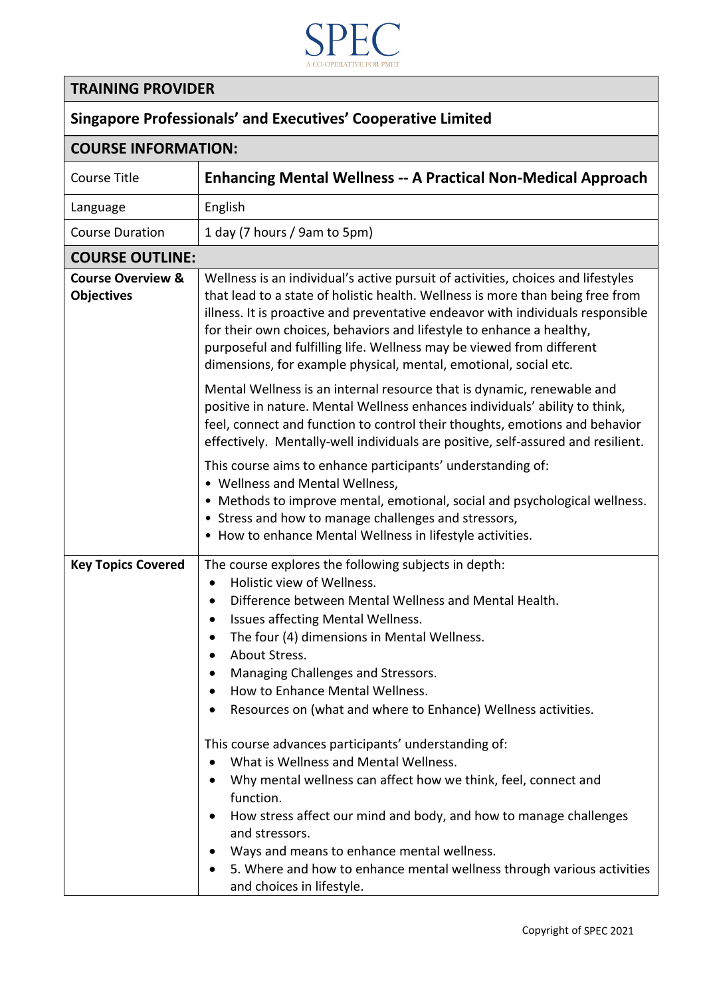

## **TRAINING PROVIDER**

| <b>Singapore Professionals' and Executives' Cooperative Limited</b> |  |  |
|---------------------------------------------------------------------|--|--|
|---------------------------------------------------------------------|--|--|

| <b>COURSE INFORMATION:</b>                        |                                                                                                                                                                                                                                                                                                                                                                                                                                                                                                                                                                                                                                                                                                                                                                                                                                                                    |  |
|---------------------------------------------------|--------------------------------------------------------------------------------------------------------------------------------------------------------------------------------------------------------------------------------------------------------------------------------------------------------------------------------------------------------------------------------------------------------------------------------------------------------------------------------------------------------------------------------------------------------------------------------------------------------------------------------------------------------------------------------------------------------------------------------------------------------------------------------------------------------------------------------------------------------------------|--|
| <b>Course Title</b>                               | <b>Enhancing Mental Wellness -- A Practical Non-Medical Approach</b>                                                                                                                                                                                                                                                                                                                                                                                                                                                                                                                                                                                                                                                                                                                                                                                               |  |
| Language                                          | English                                                                                                                                                                                                                                                                                                                                                                                                                                                                                                                                                                                                                                                                                                                                                                                                                                                            |  |
| <b>Course Duration</b>                            | 1 day (7 hours / 9am to 5pm)                                                                                                                                                                                                                                                                                                                                                                                                                                                                                                                                                                                                                                                                                                                                                                                                                                       |  |
| <b>COURSE OUTLINE:</b>                            |                                                                                                                                                                                                                                                                                                                                                                                                                                                                                                                                                                                                                                                                                                                                                                                                                                                                    |  |
| <b>Course Overview &amp;</b><br><b>Objectives</b> | Wellness is an individual's active pursuit of activities, choices and lifestyles<br>that lead to a state of holistic health. Wellness is more than being free from<br>illness. It is proactive and preventative endeavor with individuals responsible<br>for their own choices, behaviors and lifestyle to enhance a healthy,<br>purposeful and fulfilling life. Wellness may be viewed from different<br>dimensions, for example physical, mental, emotional, social etc.                                                                                                                                                                                                                                                                                                                                                                                         |  |
|                                                   | Mental Wellness is an internal resource that is dynamic, renewable and<br>positive in nature. Mental Wellness enhances individuals' ability to think,<br>feel, connect and function to control their thoughts, emotions and behavior<br>effectively. Mentally-well individuals are positive, self-assured and resilient.                                                                                                                                                                                                                                                                                                                                                                                                                                                                                                                                           |  |
|                                                   | This course aims to enhance participants' understanding of:<br>• Wellness and Mental Wellness,<br>• Methods to improve mental, emotional, social and psychological wellness.<br>• Stress and how to manage challenges and stressors,<br>• How to enhance Mental Wellness in lifestyle activities.                                                                                                                                                                                                                                                                                                                                                                                                                                                                                                                                                                  |  |
| <b>Key Topics Covered</b>                         | The course explores the following subjects in depth:<br>Holistic view of Wellness.<br>$\bullet$<br>Difference between Mental Wellness and Mental Health.<br>$\bullet$<br>Issues affecting Mental Wellness.<br>$\bullet$<br>The four (4) dimensions in Mental Wellness.<br>About Stress.<br>Managing Challenges and Stressors.<br>How to Enhance Mental Wellness.<br>Resources on (what and where to Enhance) Wellness activities.<br>This course advances participants' understanding of:<br>What is Wellness and Mental Wellness.<br>Why mental wellness can affect how we think, feel, connect and<br>function.<br>How stress affect our mind and body, and how to manage challenges<br>and stressors.<br>Ways and means to enhance mental wellness.<br>5. Where and how to enhance mental wellness through various activities<br>٠<br>and choices in lifestyle. |  |